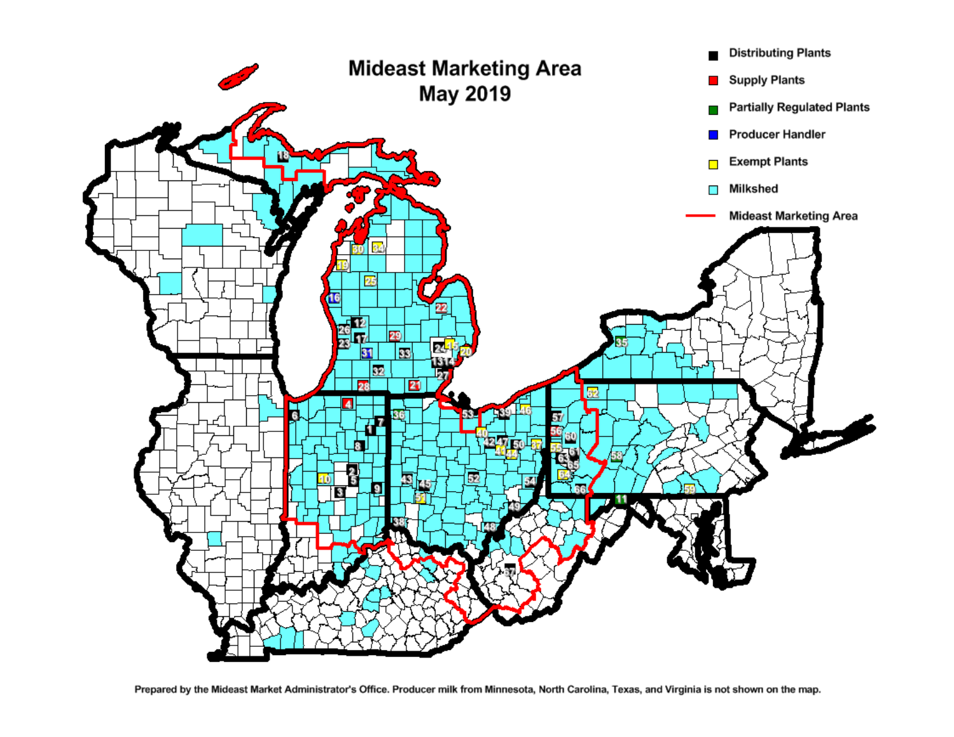

Prepared by the Mideast Market Administrator's Office. Producer milk from Minnesota, North Carolina, Texas, and Virginia is not shown on the map.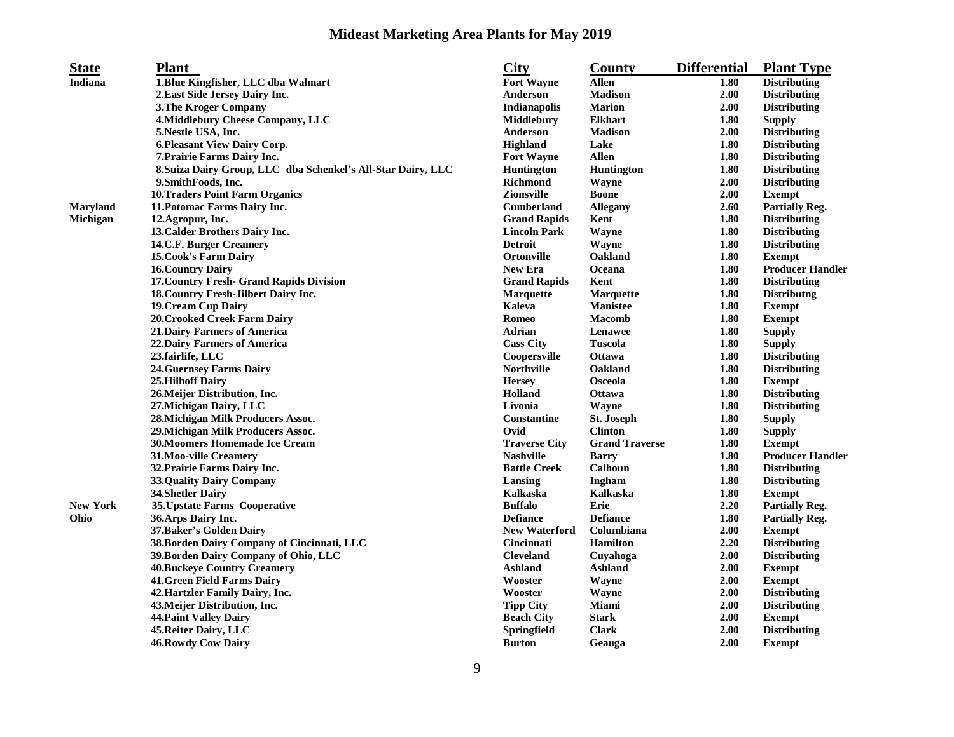## **Mideast Marketing Area Plants for May 2019**

| <b>State</b>    | <b>Plant</b>                                                 | <b>City</b>          | County                | <b>Differential</b> | <b>Plant Type</b>       |
|-----------------|--------------------------------------------------------------|----------------------|-----------------------|---------------------|-------------------------|
| Indiana         | 1. Blue Kingfisher, LLC dba Walmart                          | <b>Fort Wayne</b>    | <b>Allen</b>          | 1.80                | <b>Distributing</b>     |
|                 | 2. East Side Jersey Dairy Inc.                               | Anderson             | <b>Madison</b>        | 2.00                | <b>Distributing</b>     |
|                 | <b>3. The Kroger Company</b>                                 | Indianapolis         | <b>Marion</b>         | 2.00                | <b>Distributing</b>     |
|                 | 4. Middlebury Cheese Company, LLC                            | Middlebury           | <b>Elkhart</b>        | 1.80                | <b>Supply</b>           |
|                 | 5. Nestle USA, Inc.                                          | Anderson             | <b>Madison</b>        | 2.00                | <b>Distributing</b>     |
|                 | 6. Pleasant View Dairy Corp.                                 | <b>Highland</b>      | Lake                  | 1.80                | <b>Distributing</b>     |
|                 | 7. Prairie Farms Dairy Inc.                                  | <b>Fort Wayne</b>    | <b>Allen</b>          | 1.80                | <b>Distributing</b>     |
|                 | 8. Suiza Dairy Group, LLC dba Schenkel's All-Star Dairy, LLC | <b>Huntington</b>    | <b>Huntington</b>     | 1.80                | <b>Distributing</b>     |
|                 | 9. Smith Foods, Inc.                                         | <b>Richmond</b>      | Wayne                 | 2.00                | <b>Distributing</b>     |
|                 | <b>10.Traders Point Farm Organics</b>                        | <b>Zionsville</b>    | <b>Boone</b>          | 2.00                | <b>Exempt</b>           |
| <b>Maryland</b> | 11. Potomac Farms Dairy Inc.                                 | <b>Cumberland</b>    | <b>Allegany</b>       | 2.60                | <b>Partially Reg.</b>   |
| Michigan        | 12.Agropur, Inc.                                             | <b>Grand Rapids</b>  | Kent                  | 1.80                | <b>Distributing</b>     |
|                 | 13. Calder Brothers Dairy Inc.                               | <b>Lincoln Park</b>  | Wayne                 | 1.80                | <b>Distributing</b>     |
|                 | 14.C.F. Burger Creamery                                      | <b>Detroit</b>       | Wayne                 | 1.80                | <b>Distributing</b>     |
|                 | <b>15. Cook's Farm Dairy</b>                                 | <b>Ortonville</b>    | Oakland               | 1.80                | <b>Exempt</b>           |
|                 | <b>16. Country Dairy</b>                                     | <b>New Era</b>       | Oceana                | 1.80                | <b>Producer Handler</b> |
|                 | 17. Country Fresh- Grand Rapids Division                     | <b>Grand Rapids</b>  | Kent                  | 1.80                | <b>Distributing</b>     |
|                 | 18. Country Fresh-Jilbert Dairy Inc.                         | <b>Marquette</b>     | <b>Marquette</b>      | 1.80                | <b>Distributng</b>      |
|                 | <b>19. Cream Cup Dairy</b>                                   | <b>Kaleva</b>        | <b>Manistee</b>       | 1.80                | <b>Exempt</b>           |
|                 | <b>20. Crooked Creek Farm Dairy</b>                          | Romeo                | <b>Macomb</b>         | 1.80                | <b>Exempt</b>           |
|                 | <b>21. Dairy Farmers of America</b>                          | Adrian               | Lenawee               | 1.80                | <b>Supply</b>           |
|                 | <b>22.Dairy Farmers of America</b>                           | <b>Cass City</b>     | Tuscola               | 1.80                | <b>Supply</b>           |
|                 | 23.fairlife, LLC                                             | Coopersville         | <b>Ottawa</b>         | 1.80                | <b>Distributing</b>     |
|                 | <b>24. Guernsey Farms Dairy</b>                              | <b>Northville</b>    | Oakland               | 1.80                | <b>Distributing</b>     |
|                 | <b>25.Hilhoff Dairy</b>                                      | <b>Hersey</b>        | Osceola               | 1.80                | <b>Exempt</b>           |
|                 | 26. Meijer Distribution, Inc.                                | Holland              | <b>Ottawa</b>         | 1.80                | <b>Distributing</b>     |
|                 | 27. Michigan Dairy, LLC                                      | Livonia              | Wayne                 | 1.80                | <b>Distributing</b>     |
|                 | 28. Michigan Milk Producers Assoc.                           | <b>Constantine</b>   | <b>St. Joseph</b>     | 1.80                | <b>Supply</b>           |
|                 | 29. Michigan Milk Producers Assoc.                           | Ovid                 | <b>Clinton</b>        | 1.80                | <b>Supply</b>           |
|                 | 30. Moomers Homemade Ice Cream                               | <b>Traverse City</b> | <b>Grand Traverse</b> | 1.80                | <b>Exempt</b>           |
|                 | 31. Moo-ville Creamery                                       | <b>Nashville</b>     | <b>Barry</b>          | 1.80                | <b>Producer Handler</b> |
|                 | 32. Prairie Farms Dairy Inc.                                 | <b>Battle Creek</b>  | Calhoun               | 1.80                | <b>Distributing</b>     |
|                 | <b>33.Quality Dairy Company</b>                              | Lansing              | Ingham                | 1.80                | <b>Distributing</b>     |
|                 | <b>34. Shetler Dairy</b>                                     | <b>Kalkaska</b>      | Kalkaska              | 1.80                | <b>Exempt</b>           |
| <b>New York</b> | 35. Upstate Farms Cooperative                                | <b>Buffalo</b>       | Erie                  | 2.20                | <b>Partially Reg.</b>   |
| Ohio            | 36. Arps Dairy Inc.                                          | <b>Defiance</b>      | <b>Defiance</b>       | 1.80                | <b>Partially Reg.</b>   |
|                 | 37. Baker's Golden Dairy                                     | <b>New Waterford</b> | Columbiana            | 2.00                | <b>Exempt</b>           |
|                 | 38. Borden Dairy Company of Cincinnati, LLC                  | Cincinnati           | <b>Hamilton</b>       | 2.20                | <b>Distributing</b>     |
|                 | 39. Borden Dairy Company of Ohio, LLC                        | <b>Cleveland</b>     | Cuyahoga              | 2.00                | <b>Distributing</b>     |
|                 | <b>40. Buckeye Country Creamery</b>                          | <b>Ashland</b>       | Ashland               | 2.00                | <b>Exempt</b>           |
|                 | <b>41. Green Field Farms Dairy</b>                           | Wooster              | Wayne                 | 2.00                | <b>Exempt</b>           |
|                 | 42. Hartzler Family Dairy, Inc.                              | Wooster              | Wayne                 | 2.00                | <b>Distributing</b>     |
|                 | 43. Meijer Distribution, Inc.                                | <b>Tipp City</b>     | <b>Miami</b>          | 2.00                | <b>Distributing</b>     |
|                 | <b>44. Paint Valley Dairy</b>                                | <b>Beach City</b>    | <b>Stark</b>          | 2.00                | <b>Exempt</b>           |
|                 | 45. Reiter Dairy, LLC                                        | <b>Springfield</b>   | <b>Clark</b>          | 2.00                | <b>Distributing</b>     |
|                 | 46. Rowdy Cow Dairy                                          | <b>Burton</b>        | Geauga                | 2.00                | <b>Exempt</b>           |